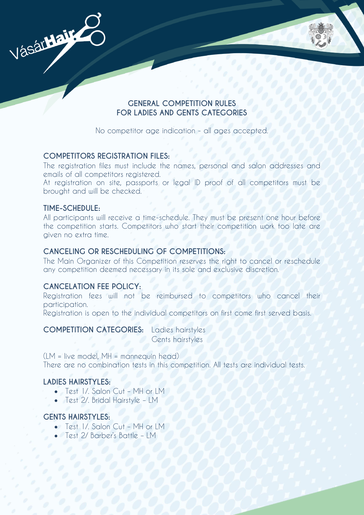

# **GENERAL COMPETITION RULES FOR LADIES AND GENTS CATEGORIES**

No competitor age indication - all ages accepted.

# **COMPETITORS REGISTRATION FILES:**

The registration files must include the names, personal and salon addresses and emails of all competitors registered.

At registration on site, passports or legal ID proof of all competitors must be brought and will be checked.

### **TIME-SCHEDULE:**

All participants will receive a time-schedule. They must be present one hour before the competition starts. Competitors who start their competition work too late are given no extra time.

# **CANCELING OR RESCHEDULING OF COMPETITIONS:**

The Main Organizer of this Competition reserves the right to cancel or reschedule any competition deemed necessary in its sole and exclusive discretion.

# **CANCELATION FEE POLICY:**

Registration fees will not be reimbursed to competitors who cancel their participation.

Registration is open to the individual competitors on first come first served basis.

#### **COMPETITION CATEGORIES:** Ladies hairstyles

Gents hairstyles

(LM = live model, MH = mannequin head) There are no combination tests in this competition. All tests are individual tests.

# **LADIES HAIRSTYLES:**

- Test 1/. Salon Cut MH or LM
- Test 2/. Bridal Hairstyle LM

# **GENTS HAIRSTYLES:**

- Test I / Salon Cut MH or LM
- Test 2/ Barber's Battle IM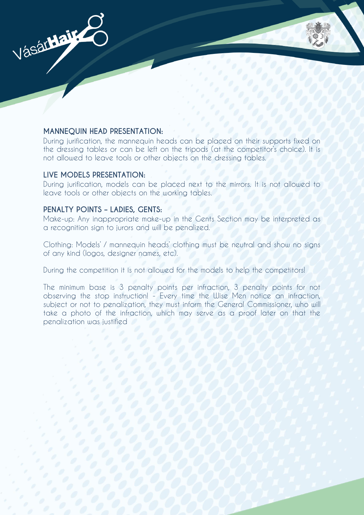

### **MANNEQUIN HEAD PRESENTATION:**

During jurification, the mannequin heads can be placed on their supports fixed on the dressing tables or can be left on the tripods (at the competitor's choice). It is not allowed to leave tools or other objects on the dressing tables.

#### **LIVE MODELS PRESENTATION:**

During jurification, models can be placed next to the mirrors. It is not allowed to leave tools or other objects on the working tables.

#### **PENALTY POINTS – LADIES, GENTS:**

Make-up: Any inappropriate make-up in the Gents Section may be interpreted as a recognition sign to jurors and will be penalized.

Clothing: Models' / mannequin heads' clothing must be neutral and show no signs of any kind (logos, designer names, etc).

During the competition it is not allowed for the models to help the competitors!

The minimum base is 3 penalty points per infraction, 3 penalty points for not observing the stop instruction! - Every time the Wise Men notice an infraction, subject or not to penalization, they must inform the General Commissioner, who will take a photo of the infraction, which may serve as a proof later on that the penalization was justified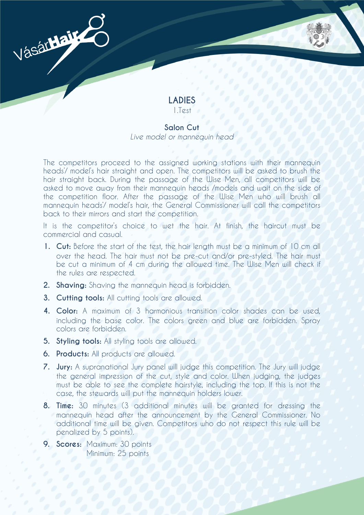

#### **Salon Cut**

*Live model or mannequin head*

The competitors proceed to the assigned working stations with their mannequin heads'/ model's hair straight and open. The competitors will be asked to brush the hair straight back. During the passage of the Wise Men, all competitors will be asked to move away from their mannequin heads /models and wait on the side of the competition floor. After the passage of the Wise Men who will brush all mannequin heads'/ model's hair, the General Commissioner will call the competitors back to their mirrors and start the competition.

It is the competitor's choice to wet the hair. At finish, the haircut must be commercial and casual.

- **1. Cut:** Before the start of the test, the hair length must be a minimum of 10 cm all over the head. The hair must not be pre-cut and/or pre-styled. The hair must be cut a minimum of 4 cm during the allowed time. The Wise Men will check if the rules are respected.
- **2. Shaving:** Shaving the mannequin head is forbidden.
- **3. Cutting tools:** All cutting tools are allowed.
- **4. Color:** A maximum of 3 harmonious transition color shades can be used, including the base color. The colors green and blue are forbidden. Spray colors are forbidden.
- **5. Styling tools:** All styling tools are allowed.
- **6. Products:** All products are allowed.

Vásár**Hair** 

- **7. Jury:** A supranational Jury panel will judge this competition. The Jury will judge the general impression of the cut, style and color. When judging, the judges must be able to see the complete hairstyle, including the top. If this is not the case, the stewards will put the mannequin holders lower.
- **8. Time:** 30 minutes (3 additional minutes will be granted for dressing the mannequin head after the announcement by the General Commissioner. No additional time will be given. Competitors who do not respect this rule will be penalized by 5 points).
- **9. Scores:** Maximum: 30 points Minimum: 25 points